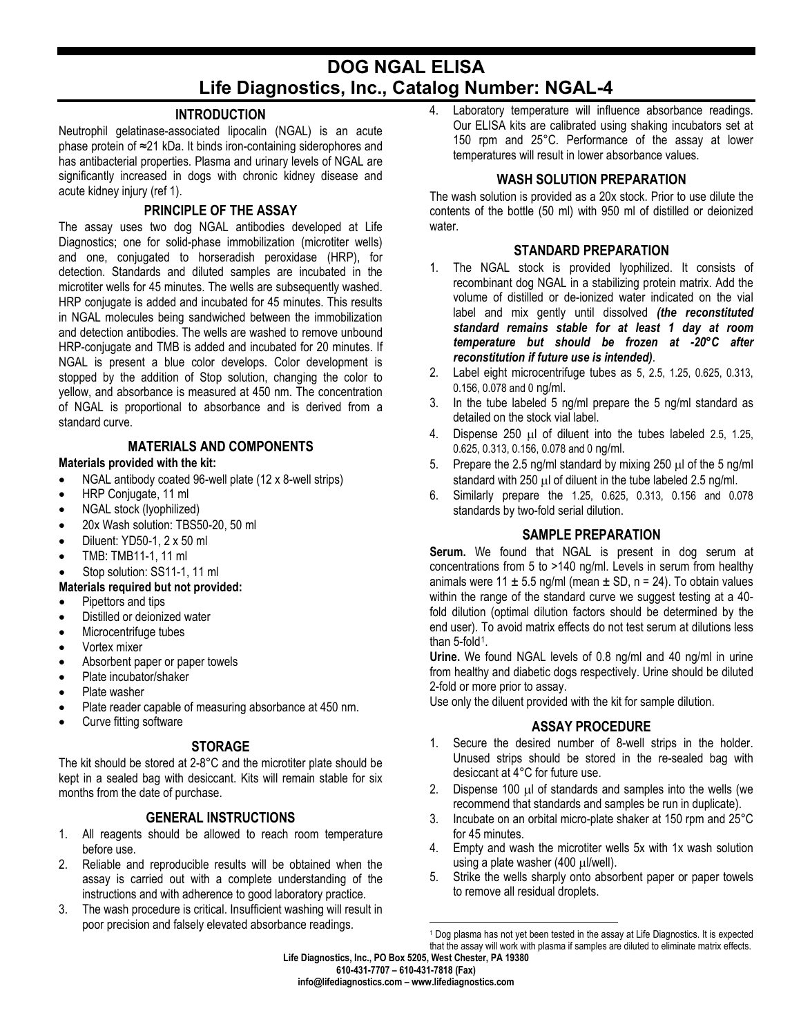# **DOG NGAL ELISA Life Diagnostics, Inc., Catalog Number: NGAL-4**

### **INTRODUCTION**

Neutrophil gelatinase-associated lipocalin (NGAL) is an acute phase protein of ≈21 kDa. It binds iron-containing siderophores and has antibacterial properties. Plasma and urinary levels of NGAL are significantly increased in dogs with chronic kidney disease and acute kidney injury (ref 1).

### **PRINCIPLE OF THE ASSAY**

The assay uses two dog NGAL antibodies developed at Life Diagnostics; one for solid-phase immobilization (microtiter wells) and one, conjugated to horseradish peroxidase (HRP), for detection. Standards and diluted samples are incubated in the microtiter wells for 45 minutes. The wells are subsequently washed. HRP conjugate is added and incubated for 45 minutes. This results in NGAL molecules being sandwiched between the immobilization and detection antibodies. The wells are washed to remove unbound HRP-conjugate and TMB is added and incubated for 20 minutes. If NGAL is present a blue color develops. Color development is stopped by the addition of Stop solution, changing the color to yellow, and absorbance is measured at 450 nm. The concentration of NGAL is proportional to absorbance and is derived from a standard curve.

### **MATERIALS AND COMPONENTS**

#### **Materials provided with the kit:**

- NGAL antibody coated 96-well plate (12 x 8-well strips)
- HRP Conjugate, 11 ml
- NGAL stock (lyophilized)
- 20x Wash solution: TBS50-20, 50 ml
- Diluent: YD50-1, 2 x 50 ml
- TMB: TMB11-1, 11 ml
- Stop solution: SS11-1, 11 ml

### **Materials required but not provided:**

- Pipettors and tips
- Distilled or deionized water
- Microcentrifuge tubes
- Vortex mixer
- Absorbent paper or paper towels
- Plate incubator/shaker
- Plate washer
- Plate reader capable of measuring absorbance at 450 nm.
- Curve fitting software

# **STORAGE**

The kit should be stored at 2-8°C and the microtiter plate should be kept in a sealed bag with desiccant. Kits will remain stable for six months from the date of purchase.

# **GENERAL INSTRUCTIONS**

- 1. All reagents should be allowed to reach room temperature before use.
- 2. Reliable and reproducible results will be obtained when the assay is carried out with a complete understanding of the instructions and with adherence to good laboratory practice.
- <span id="page-0-0"></span>3. The wash procedure is critical. Insufficient washing will result in poor precision and falsely elevated absorbance readings.

4. Laboratory temperature will influence absorbance readings. Our ELISA kits are calibrated using shaking incubators set at 150 rpm and 25°C. Performance of the assay at lower temperatures will result in lower absorbance values.

# **WASH SOLUTION PREPARATION**

The wash solution is provided as a 20x stock. Prior to use dilute the contents of the bottle (50 ml) with 950 ml of distilled or deionized water.

# **STANDARD PREPARATION**

- 1. The NGAL stock is provided lyophilized. It consists of recombinant dog NGAL in a stabilizing protein matrix. Add the volume of distilled or de-ionized water indicated on the vial label and mix gently until dissolved *(the reconstituted standard remains stable for at least 1 day at room temperature but should be frozen at -20°C after reconstitution if future use is intended)*.
- 2. Label eight microcentrifuge tubes as 5, 2.5, 1.25, 0.625, 0.313, 0.156, 0.078 and 0 ng/ml.
- 3. In the tube labeled 5 ng/ml prepare the 5 ng/ml standard as detailed on the stock vial label.
- 4. Dispense 250 µl of diluent into the tubes labeled 2.5, 1.25, 0.625, 0.313, 0.156, 0.078 and 0 ng/ml.
- 5. Prepare the 2.5 ng/ml standard by mixing 250  $\mu$ l of the 5 ng/ml standard with 250  $\mu$ l of diluent in the tube labeled 2.5 ng/ml.
- 6. Similarly prepare the 1.25, 0.625, 0.313, 0.156 and 0.078 standards by two-fold serial dilution.

## **SAMPLE PREPARATION**

**Serum.** We found that NGAL is present in dog serum at concentrations from 5 to >140 ng/ml. Levels in serum from healthy animals were 11  $\pm$  5.5 ng/ml (mean  $\pm$  SD, n = 24). To obtain values within the range of the standard curve we suggest testing at a 40 fold dilution (optimal dilution factors should be determined by the end user). To avoid matrix effects do not test serum at dilutions less than  $5$ -fold<sup>1</sup>.

**Urine.** We found NGAL levels of 0.8 ng/ml and 40 ng/ml in urine from healthy and diabetic dogs respectively. Urine should be diluted 2-fold or more prior to assay.

Use only the diluent provided with the kit for sample dilution.

## **ASSAY PROCEDURE**

- 1. Secure the desired number of 8-well strips in the holder. Unused strips should be stored in the re-sealed bag with desiccant at 4°C for future use.
- 2. Dispense 100  $\mu$  of standards and samples into the wells (we recommend that standards and samples be run in duplicate).
- 3. Incubate on an orbital micro-plate shaker at 150 rpm and 25°C for 45 minutes.
- 4. Empty and wash the microtiter wells 5x with 1x wash solution using a plate washer (400 µl/well).
- 5. Strike the wells sharply onto absorbent paper or paper towels to remove all residual droplets.

<sup>&</sup>lt;sup>1</sup> Dog plasma has not yet been tested in the assay at Life Diagnostics. It is expected that the assay will work with plasma if samples are diluted to eliminate matrix effects.